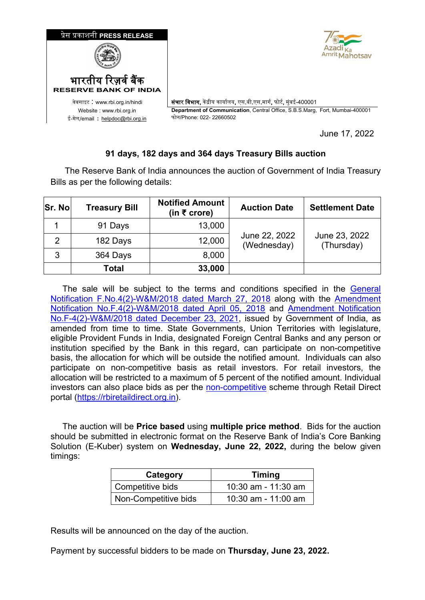

June 17, 2022

## **91 days, 182 days and 364 days Treasury Bills auction**

 The Reserve Bank of India announces the auction of Government of India Treasury Bills as per the following details:

| Sr. No         | <b>Treasury Bill</b> | <b>Notified Amount</b><br>(in ₹ crore) | <b>Auction Date</b>          | <b>Settlement Date</b>      |
|----------------|----------------------|----------------------------------------|------------------------------|-----------------------------|
|                | 91 Days              | 13,000                                 |                              |                             |
| $\overline{2}$ | 182 Days             | 12,000                                 | June 22, 2022<br>(Wednesday) | June 23, 2022<br>(Thursday) |
| 3              | 364 Days             | 8,000                                  |                              |                             |
|                | <b>Total</b>         | 33,000                                 |                              |                             |

The sale will be subject to the terms and conditions specified in the General Notification [F.No.4\(2\)-W&M/2018 dated March 27, 2018](https://rbidocs.rbi.org.in/rdocs/content/pdfs/GOI27032018_A.pdf) along with the [Amendment](https://rbidocs.rbi.org.in/rdocs/content/pdfs/GOI05042018_A.pdf)  Notification [No.F.4\(2\)-W&M/2018 dated April 05, 2018](https://rbidocs.rbi.org.in/rdocs/content/pdfs/GOI05042018_A.pdf) and [Amendment](https://rbidocs.rbi.org.in/rdocs/content/pdfs/GOI23122021_A.pdf) Notification [No.F-4\(2\)-W&M/2018 dated December 23, 2021,](https://rbidocs.rbi.org.in/rdocs/content/pdfs/GOI23122021_A.pdf) issued by Government of India, as amended from time to time. State Governments, Union Territories with legislature, eligible Provident Funds in India, designated Foreign Central Banks and any person or institution specified by the Bank in this regard, can participate on non-competitive basis, the allocation for which will be outside the notified amount. Individuals can also participate on non-competitive basis as retail investors. For retail investors, the allocation will be restricted to a maximum of 5 percent of the notified amount. Individual investors can also place bids as per the [non-competitive](https://www.rbi.org.in/Scripts/NotificationUser.aspx?Id=11175&Mode=0) scheme through Retail Direct portal [\(https://rbiretaildirect.org.in\)](https://rbiretaildirect.org.in/).

 The auction will be **Price based** using **multiple price method**. Bids for the auction should be submitted in electronic format on the Reserve Bank of India's Core Banking Solution (E-Kuber) system on **Wednesday, June 22, 2022,** during the below given timings:

| Category                      | <b>Timing</b>       |  |
|-------------------------------|---------------------|--|
| <sup>'</sup> Competitive bids | 10:30 am - 11:30 am |  |
| Non-Competitive bids          | 10:30 am - 11:00 am |  |

Results will be announced on the day of the auction.

Payment by successful bidders to be made on **Thursday, June 23, 2022.**